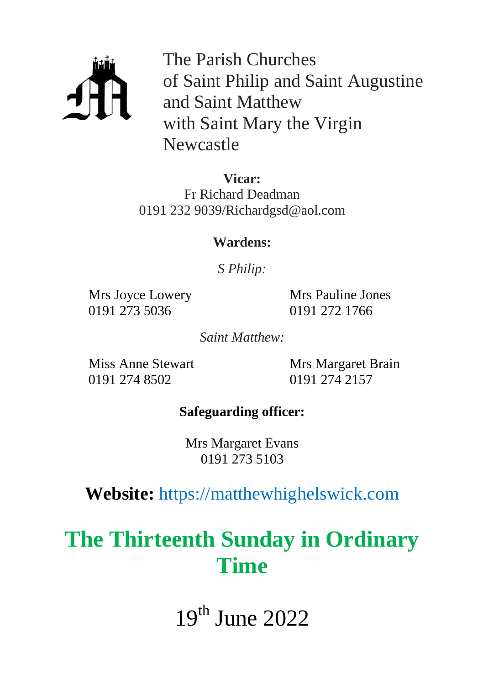

The Parish Churches of Saint Philip and Saint Augustine and Saint Matthew with Saint Mary the Virgin Newcastle

**Vicar:** Fr Richard Deadman 0191 232 9039/Richardgsd@aol.com

#### **Wardens:**

*S Philip:*

Mrs Joyce Lowery 0191 273 5036

Mrs Pauline Jones 0191 272 1766

*Saint Matthew:*

Miss Anne Stewart 0191 274 8502

Mrs Margaret Brain 0191 274 2157

### **Safeguarding officer:**

Mrs Margaret Evans 0191 273 5103

## **Website:** https://matthewhighelswick.com

# **The Thirteenth Sunday in Ordinary Time**

19th June 2022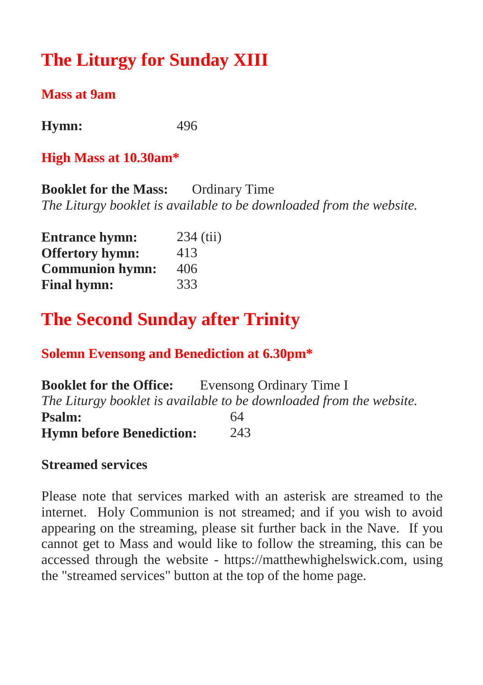## **The Liturgy for Sunday XIII**

#### **Mass at 9am**

**Hymn:** 496

#### **High Mass at 10.30am\***

**Booklet for the Mass:** Ordinary Time *The Liturgy booklet is available to be downloaded from the website.*

| <b>Entrance hymn:</b>  | $234$ (tii) |
|------------------------|-------------|
| <b>Offertory hymn:</b> | 413         |
| <b>Communion hymn:</b> | 406         |
| <b>Final hymn:</b>     | 333         |

## **The Second Sunday after Trinity**

#### **Solemn Evensong and Benediction at 6.30pm\***

| <b>Booklet for the Office:</b>  | Evensong Ordinary Time I                                            |
|---------------------------------|---------------------------------------------------------------------|
|                                 | The Liturgy booklet is available to be downloaded from the website. |
| <b>Psalm:</b>                   | 64                                                                  |
| <b>Hymn before Benediction:</b> | 243                                                                 |

#### **Streamed services**

Please note that services marked with an asterisk are streamed to the internet. Holy Communion is not streamed; and if you wish to avoid appearing on the streaming, please sit further back in the Nave. If you cannot get to Mass and would like to follow the streaming, this can be accessed through the website - https://matthewhighelswick.com, using the "streamed services" button at the top of the home page.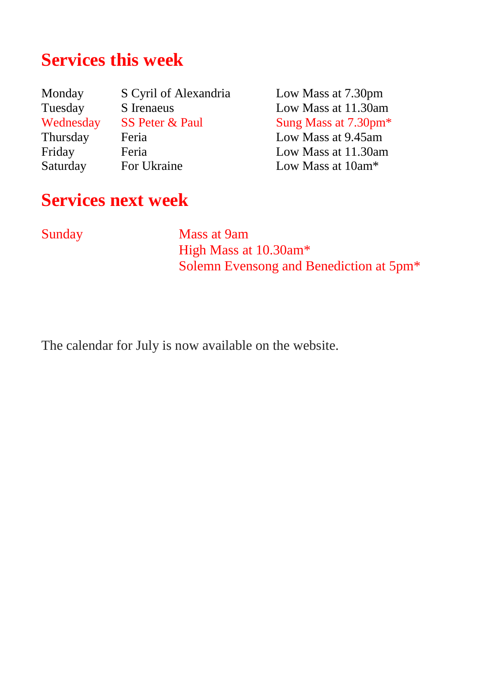## **Services this week**

Monday S Cyril of Alexandria Low Mass at 7.30pm Tuesday S Irenaeus Low Mass at 11.30am<br>Wednesday SS Peter & Paul Sung Mass at 7.30pm<sup>\*</sup> Wednesday SS Peter & Paul Sung Mass at 7.30pm<sup>\*</sup> Thursday Feria Low Mass at 9.45am Friday Feria Low Mass at 11.30am<br>Saturday For Ukraine Low Mass at 10am\*

Low Mass at  $10am*$ 

## **Services next week**

Sunday Mass at 9am High Mass at 10.30am\* Solemn Evensong and Benediction at 5pm\*

The calendar for July is now available on the website.